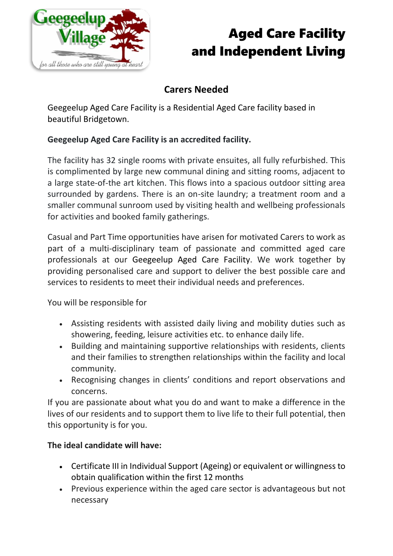

## Aged Care Facility and Independent Living

### **Carers Needed**

Geegeelup Aged Care Facility is a Residential Aged Care facility based in beautiful Bridgetown.

### **Geegeelup Aged Care Facility is an accredited facility.**

The facility has 32 single rooms with private ensuites, all fully refurbished. This is complimented by large new communal dining and sitting rooms, adjacent to a large state-of-the art kitchen. This flows into a spacious outdoor sitting area surrounded by gardens. There is an on-site laundry; a treatment room and a smaller communal sunroom used by visiting health and wellbeing professionals for activities and booked family gatherings.

Casual and Part Time opportunities have arisen for motivated Carers to work as part of a multi-disciplinary team of passionate and committed aged care professionals at our Geegeelup Aged Care Facility. We work together by providing personalised care and support to deliver the best possible care and services to residents to meet their individual needs and preferences.

You will be responsible for

- Assisting residents with assisted daily living and mobility duties such as showering, feeding, leisure activities etc. to enhance daily life.
- Building and maintaining supportive relationships with residents, clients and their families to strengthen relationships within the facility and local community.
- Recognising changes in clients' conditions and report observations and concerns.

If you are passionate about what you do and want to make a difference in the lives of our residents and to support them to live life to their full potential, then this opportunity is for you.

#### **The ideal candidate will have:**

- Certificate III in Individual Support (Ageing) or equivalent or willingness to obtain qualification within the first 12 months
- Previous experience within the aged care sector is advantageous but not necessary